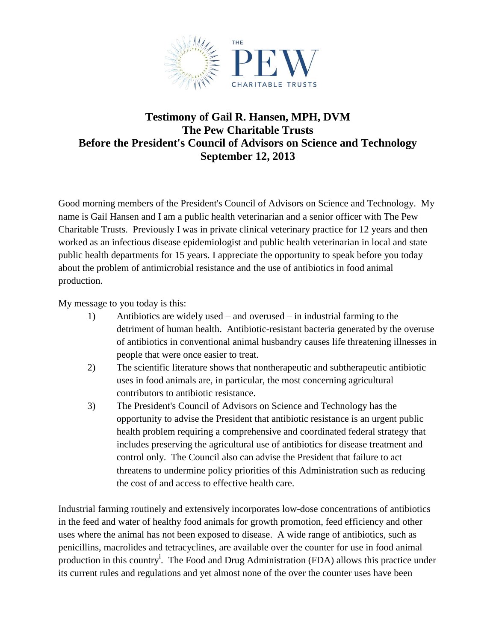

## **Testimony of Gail R. Hansen, MPH, DVM The Pew Charitable Trusts Before the President's Council of Advisors on Science and Technology September 12, 2013**

Good morning members of the President's Council of Advisors on Science and Technology. My name is Gail Hansen and I am a public health veterinarian and a senior officer with The Pew Charitable Trusts. Previously I was in private clinical veterinary practice for 12 years and then worked as an infectious disease epidemiologist and public health veterinarian in local and state public health departments for 15 years. I appreciate the opportunity to speak before you today about the problem of antimicrobial resistance and the use of antibiotics in food animal production.

My message to you today is this:

- 1) Antibiotics are widely used and overused in industrial farming to the detriment of human health. Antibiotic-resistant bacteria generated by the overuse of antibiotics in conventional animal husbandry causes life threatening illnesses in people that were once easier to treat.
- 2) The scientific literature shows that nontherapeutic and subtherapeutic antibiotic uses in food animals are, in particular, the most concerning agricultural contributors to antibiotic resistance.
- 3) The President's Council of Advisors on Science and Technology has the opportunity to advise the President that antibiotic resistance is an urgent public health problem requiring a comprehensive and coordinated federal strategy that includes preserving the agricultural use of antibiotics for disease treatment and control only. The Council also can advise the President that failure to act threatens to undermine policy priorities of this Administration such as reducing the cost of and access to effective health care.

Industrial farming routinely and extensively incorporates low-dose concentrations of antibiotics in the feed and water of healthy food animals for growth promotion, feed efficiency and other uses where the animal has not been exposed to disease. A wide range of antibiotics, such as penicillins, macrolides and tetracyclines, are available over the counter for use in food animal production in this country<sup>i</sup>. The Food and Drug Administration (FDA) allows this practice under its current rules and regulations and yet almost none of the over the counter uses have been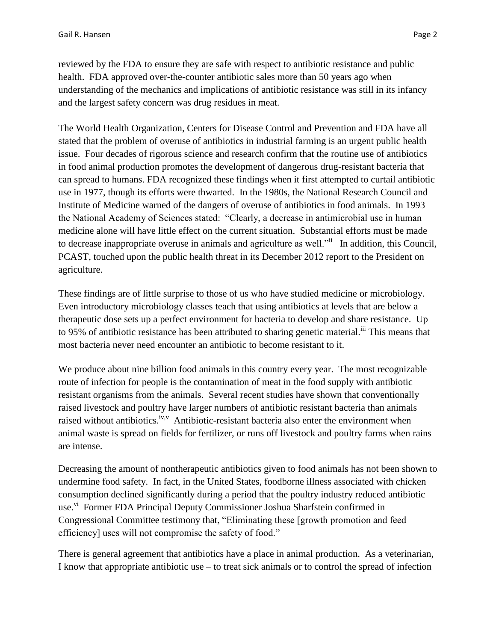and the largest safety concern was drug residues in meat.

reviewed by the FDA to ensure they are safe with respect to antibiotic resistance and public health. FDA approved over-the-counter antibiotic sales more than 50 years ago when understanding of the mechanics and implications of antibiotic resistance was still in its infancy

The World Health Organization, Centers for Disease Control and Prevention and FDA have all stated that the problem of overuse of antibiotics in industrial farming is an urgent public health issue. Four decades of rigorous science and research confirm that the routine use of antibiotics in food animal production promotes the development of dangerous drug-resistant bacteria that can spread to humans. FDA recognized these findings when it first attempted to curtail antibiotic use in 1977, though its efforts were thwarted. In the 1980s, the National Research Council and Institute of Medicine warned of the dangers of overuse of antibiotics in food animals. In 1993 the National Academy of Sciences stated: "Clearly, a decrease in antimicrobial use in human medicine alone will have little effect on the current situation. Substantial efforts must be made to decrease inappropriate overuse in animals and agriculture as well.<sup>"ii</sup> In addition, this Council, PCAST, touched upon the public health threat in its December 2012 report to the President on agriculture.

These findings are of little surprise to those of us who have studied medicine or microbiology. Even introductory microbiology classes teach that using antibiotics at levels that are below a therapeutic dose sets up a perfect environment for bacteria to develop and share resistance. Up to 95% of antibiotic resistance has been attributed to sharing genetic material.<sup>iii</sup> This means that most bacteria never need encounter an antibiotic to become resistant to it.

We produce about nine billion food animals in this country every year. The most recognizable route of infection for people is the contamination of meat in the food supply with antibiotic resistant organisms from the animals. Several recent studies have shown that conventionally raised livestock and poultry have larger numbers of antibiotic resistant bacteria than animals raised without antibiotics.<sup>iv, v</sup> Antibiotic-resistant bacteria also enter the environment when animal waste is spread on fields for fertilizer, or runs off livestock and poultry farms when rains are intense.

Decreasing the amount of nontherapeutic antibiotics given to food animals has not been shown to undermine food safety. In fact, in the United States, foodborne illness associated with chicken consumption declined significantly during a period that the poultry industry reduced antibiotic use.<sup>vi</sup> Former FDA Principal Deputy Commissioner Joshua Sharfstein confirmed in Congressional Committee testimony that, "Eliminating these [growth promotion and feed efficiency] uses will not compromise the safety of food."

There is general agreement that antibiotics have a place in animal production. As a veterinarian, I know that appropriate antibiotic use – to treat sick animals or to control the spread of infection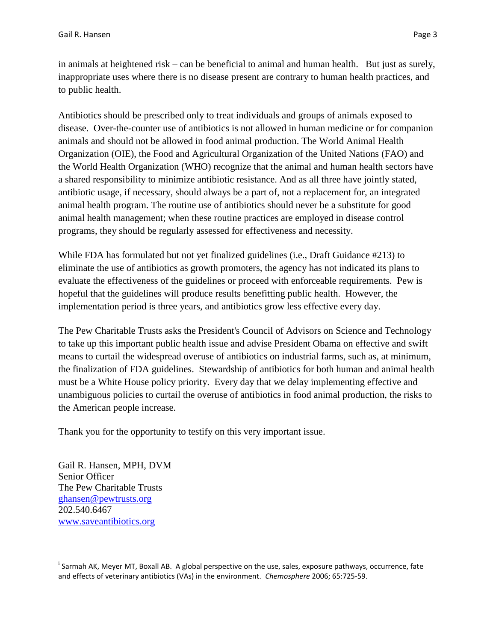in animals at heightened risk – can be beneficial to animal and human health. But just as surely, inappropriate uses where there is no disease present are contrary to human health practices, and to public health.

Antibiotics should be prescribed only to treat individuals and groups of animals exposed to disease. Over-the-counter use of antibiotics is not allowed in human medicine or for companion animals and should not be allowed in food animal production. The World Animal Health Organization (OIE), the Food and Agricultural Organization of the United Nations (FAO) and the World Health Organization (WHO) recognize that the animal and human health sectors have a shared responsibility to minimize antibiotic resistance. And as all three have jointly stated, antibiotic usage, if necessary, should always be a part of, not a replacement for, an integrated animal health program. The routine use of antibiotics should never be a substitute for good animal health management; when these routine practices are employed in disease control programs, they should be regularly assessed for effectiveness and necessity.

While FDA has formulated but not yet finalized guidelines (i.e., Draft Guidance #213) to eliminate the use of antibiotics as growth promoters, the agency has not indicated its plans to evaluate the effectiveness of the guidelines or proceed with enforceable requirements. Pew is hopeful that the guidelines will produce results benefitting public health. However, the implementation period is three years, and antibiotics grow less effective every day.

The Pew Charitable Trusts asks the President's Council of Advisors on Science and Technology to take up this important public health issue and advise President Obama on effective and swift means to curtail the widespread overuse of antibiotics on industrial farms, such as, at minimum, the finalization of FDA guidelines. Stewardship of antibiotics for both human and animal health must be a White House policy priority. Every day that we delay implementing effective and unambiguous policies to curtail the overuse of antibiotics in food animal production, the risks to the American people increase.

Thank you for the opportunity to testify on this very important issue.

Gail R. Hansen, MPH, DVM Senior Officer The Pew Charitable Trusts [ghansen@pewtrusts.org](mailto:ghansen@pewtrusts.org) 202.540.6467 [www.saveantibiotics.org](http://www.saveantibiotics.org/)

l

<sup>&</sup>lt;sup>i</sup> Sarmah AK, Meyer MT, Boxall AB. A global perspective on the use, sales, exposure pathways, occurrence, fate and effects of veterinary antibiotics (VAs) in the environment. *Chemosphere* 2006; 65:725-59.